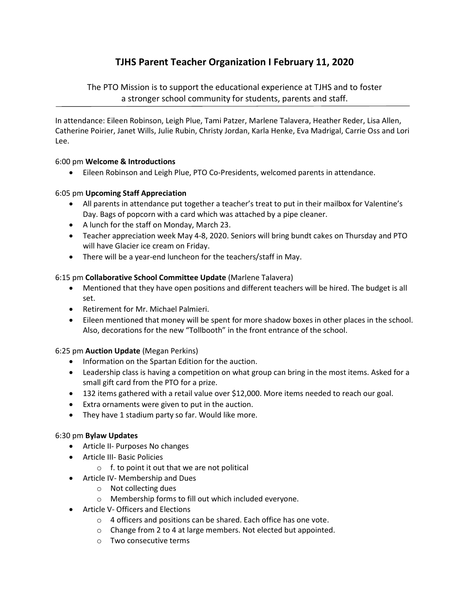# TJHS Parent Teacher Organization I February 11, 2020

The PTO Mission is to support the educational experience at TJHS and to foster a stronger school community for students, parents and staff.

In attendance: Eileen Robinson, Leigh Plue, Tami Patzer, Marlene Talavera, Heather Reder, Lisa Allen, Catherine Poirier, Janet Wills, Julie Rubin, Christy Jordan, Karla Henke, Eva Madrigal, Carrie Oss and Lori Lee.

# 6:00 pm Welcome & Introductions

Eileen Robinson and Leigh Plue, PTO Co-Presidents, welcomed parents in attendance.

# 6:05 pm Upcoming Staff Appreciation

- All parents in attendance put together a teacher's treat to put in their mailbox for Valentine's Day. Bags of popcorn with a card which was attached by a pipe cleaner.
- A lunch for the staff on Monday, March 23.
- Teacher appreciation week May 4-8, 2020. Seniors will bring bundt cakes on Thursday and PTO will have Glacier ice cream on Friday.
- There will be a year-end luncheon for the teachers/staff in May.

# 6:15 pm Collaborative School Committee Update (Marlene Talavera)

- Mentioned that they have open positions and different teachers will be hired. The budget is all set.
- Retirement for Mr. Michael Palmieri.
- Eileen mentioned that money will be spent for more shadow boxes in other places in the school. Also, decorations for the new "Tollbooth" in the front entrance of the school.

### 6:25 pm Auction Update (Megan Perkins)

- Information on the Spartan Edition for the auction.
- Leadership class is having a competition on what group can bring in the most items. Asked for a small gift card from the PTO for a prize.
- 132 items gathered with a retail value over \$12,000. More items needed to reach our goal.
- Extra ornaments were given to put in the auction.
- They have 1 stadium party so far. Would like more.

### 6:30 pm Bylaw Updates

- Article II- Purposes No changes
- Article III- Basic Policies
	- $\circ$  f. to point it out that we are not political
- Article IV- Membership and Dues
	- o Not collecting dues
	- o Membership forms to fill out which included everyone.
- Article V- Officers and Elections
	- o 4 officers and positions can be shared. Each office has one vote.
	- o Change from 2 to 4 at large members. Not elected but appointed.
	- o Two consecutive terms